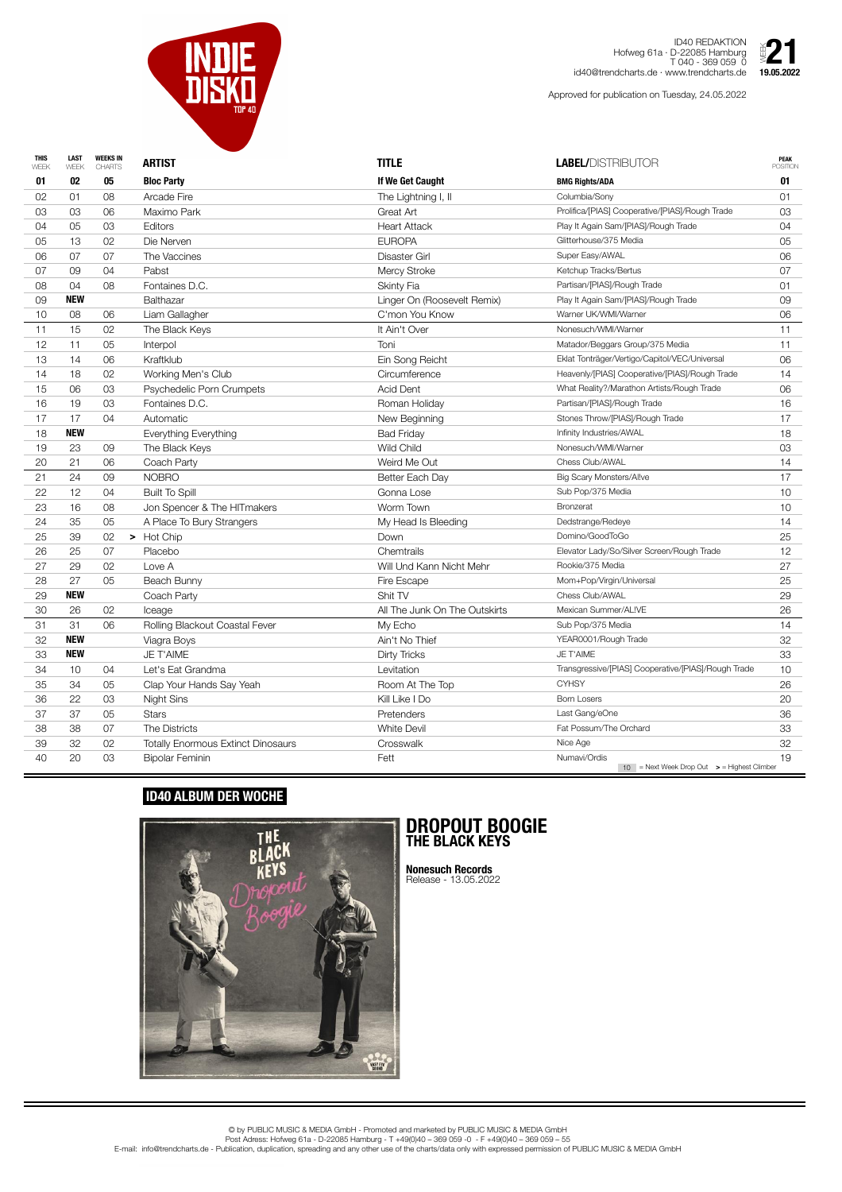| <b>THIS</b><br>WEEK | <b>LAST</b><br>WEEK | <b>WEEKS IN</b><br><b>CHARTS</b> | <b>ARTIST</b>                             | <b>TITLE</b>                  | <b>LABEL/DISTRIBUTOR</b>                            | <b>PEAK</b><br><b>POSITION</b> |
|---------------------|---------------------|----------------------------------|-------------------------------------------|-------------------------------|-----------------------------------------------------|--------------------------------|
| 01                  | 02                  | 05                               | <b>Bloc Party</b>                         | If We Get Caught              | <b>BMG Rights/ADA</b>                               | 01                             |
| 02                  | 01                  | 08                               | <b>Arcade Fire</b>                        | The Lightning I, II           | Columbia/Sony                                       | 01                             |
| 03                  | 03                  | 06                               | Maximo Park                               | Great Art                     | Prolifica/[PIAS] Cooperative/[PIAS]/Rough Trade     | 03                             |
| 04                  | 05                  | 03                               | Editors                                   | <b>Heart Attack</b>           | Play It Again Sam/[PIAS]/Rough Trade                | 04                             |
| 05                  | 13                  | 02                               | Die Nerven                                | <b>EUROPA</b>                 | Glitterhouse/375 Media                              | 05                             |
| 06                  | 07                  | 07                               | The Vaccines                              | <b>Disaster Girl</b>          | Super Easy/AWAL                                     | 06                             |
| 07                  | 09                  | 04                               | Pabst                                     | <b>Mercy Stroke</b>           | Ketchup Tracks/Bertus                               | 07                             |
| 08                  | 04                  | 08                               | Fontaines D.C.                            | <b>Skinty Fia</b>             | Partisan/[PIAS]/Rough Trade                         | 01                             |
| 09                  | <b>NEW</b>          |                                  | <b>Balthazar</b>                          | Linger On (Roosevelt Remix)   | Play It Again Sam/[PIAS]/Rough Trade                | 09                             |
| 10                  | 08                  | 06                               | Liam Gallagher                            | C'mon You Know                | Warner UK/WMI/Warner                                | 06                             |
| 11                  | 15                  | 02                               | The Black Keys                            | It Ain't Over                 | Nonesuch/WMI/Warner                                 | 11                             |
| 12                  | 11                  | 05                               | Interpol                                  | Toni                          | Matador/Beggars Group/375 Media                     | 11                             |
| 13                  | 14                  | 06                               | Kraftklub                                 | Ein Song Reicht               | Eklat Tonträger/Vertigo/Capitol/VEC/Universal       | 06                             |
| 14                  | 18                  | 02                               | Working Men's Club                        | Circumference                 | Heavenly/[PIAS] Cooperative/[PIAS]/Rough Trade      | 14                             |
| 15                  | 06                  | 03                               | Psychedelic Porn Crumpets                 | <b>Acid Dent</b>              | What Reality?/Marathon Artists/Rough Trade          | 06                             |
| 16                  | 19                  | 03                               | Fontaines D.C.                            | Roman Holiday                 | Partisan/[PIAS]/Rough Trade                         | 16                             |
| 17                  | 17                  | 04                               | Automatic                                 | New Beginning                 | Stones Throw/[PIAS]/Rough Trade                     | 17                             |
| 18                  | <b>NEW</b>          |                                  | Everything Everything                     | <b>Bad Friday</b>             | Infinity Industries/AWAL                            | 18                             |
| 19                  | 23                  | 09                               | The Black Keys                            | Wild Child                    | Nonesuch/WMI/Warner                                 | 03                             |
| 20                  | 21                  | 06                               | Coach Party                               | Weird Me Out                  | Chess Club/AWAL                                     | 14                             |
| 21                  | 24                  | 09                               | <b>NOBRO</b>                              | Better Each Day               | <b>Big Scary Monsters/Allve</b>                     | 17                             |
| 22                  | 12                  | 04                               | <b>Built To Spill</b>                     | Gonna Lose                    | Sub Pop/375 Media                                   | 10                             |
| 23                  | 16                  | 08                               | Jon Spencer & The HITmakers               | Worm Town                     | <b>Bronzerat</b>                                    | 10                             |
| 24                  | 35                  | 05                               | A Place To Bury Strangers                 | My Head Is Bleeding           | Dedstrange/Redeye                                   | 14                             |
| 25                  | 39                  | 02                               | Hot Chip<br>➤                             | Down                          | Domino/GoodToGo                                     | 25                             |
| 26                  | 25                  | 07                               | Placebo                                   | Chemtrails                    | Elevator Lady/So/Silver Screen/Rough Trade          | 12                             |
| 27                  | 29                  | 02                               | Love A                                    | Will Und Kann Nicht Mehr      | Rookie/375 Media                                    | 27                             |
| 28                  | 27                  | 05                               | Beach Bunny                               | Fire Escape                   | Mom+Pop/Virgin/Universal                            | 25                             |
| 29                  | <b>NEW</b>          |                                  | Coach Party                               | Shit TV                       | Chess Club/AWAL                                     | 29                             |
| 30                  | 26                  | 02                               | Iceage                                    | All The Junk On The Outskirts | Mexican Summer/AL!VE                                | 26                             |
| 31                  | 31                  | 06                               | Rolling Blackout Coastal Fever            | My Echo                       | Sub Pop/375 Media                                   | 14                             |
| 32                  | <b>NEW</b>          |                                  | Viagra Boys                               | Ain't No Thief                | YEAR0001/Rough Trade                                | 32                             |
| 33                  | <b>NEW</b>          |                                  | <b>JE T'AIME</b>                          | <b>Dirty Tricks</b>           | JE T'AIME                                           | 33                             |
| 34                  | 10                  | 04                               | Let's Eat Grandma                         | Levitation                    | Transgressive/[PIAS] Cooperative/[PIAS]/Rough Trade | 10                             |
| 35                  | 34                  | 05                               | Clap Your Hands Say Yeah                  | Room At The Top               | <b>CYHSY</b>                                        | 26                             |
| 36                  | 22                  | 03                               | <b>Night Sins</b>                         | Kill Like I Do                | <b>Born Losers</b>                                  | 20                             |
| 37                  | 37                  | 05                               | <b>Stars</b>                              | Pretenders                    | Last Gang/eOne                                      | 36                             |
| 38                  | 38                  | 07                               | The Districts                             | <b>White Devil</b>            | Fat Possum/The Orchard                              | 33                             |
| 39                  | 32                  | 02                               | <b>Totally Enormous Extinct Dinosaurs</b> | Crosswalk                     | Nice Age                                            | 32                             |
| 40                  | 20                  | 03                               | <b>Bipolar Feminin</b>                    | Fett                          | Numavi/Ordis                                        | 19                             |



ID40 REDAKTION Hofweg 61a · D-22085 Hamburg T 040 - 369 059 0 id40@trendcharts.de · www.trendcharts.de

Approved for publication on Tuesday, 24.05.2022



## **ID40 ALBUM DER WOCHE**



## **DROPOUT BOOGIE THE BLACK KEYS**

**Nonesuch Records** Release - 13.05.2022